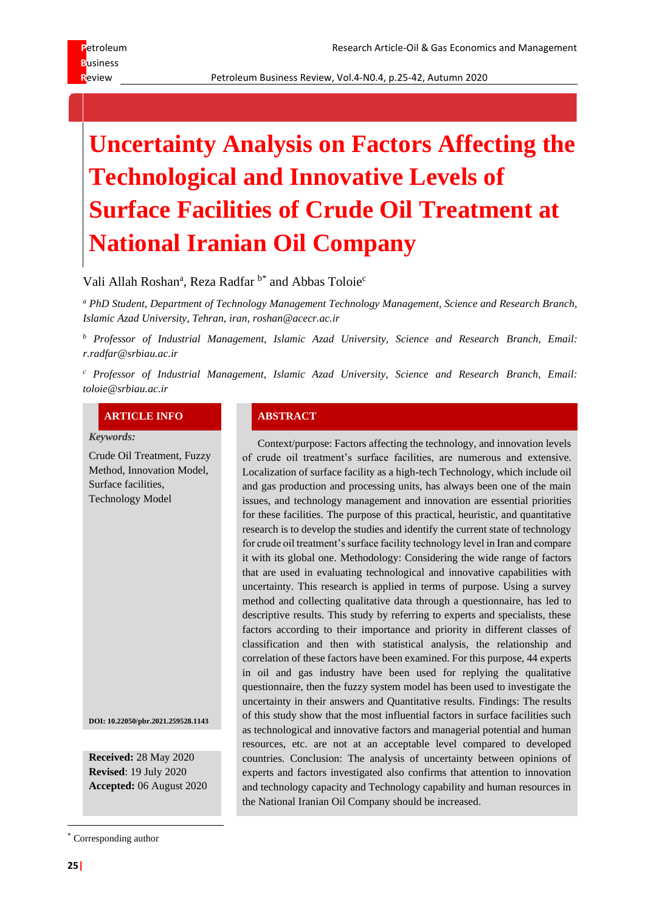Review **Review Petroleum Business Review, Vol.4-N0.4, p.25-42, Autumn 2020** 

# **Uncertainty Analysis on Factors Affecting the Technological and Innovative Levels of Surface Facilities of Crude Oil Treatment at National Iranian Oil Company**

Vali Allah Roshan<sup>a</sup>, Reza Radfar  $b^*$  and Abbas Toloie<sup>c</sup>

*<sup>a</sup> PhD Student, Department of Technology Management Technology Management, Science and Research Branch, Islamic Azad University, Tehran, iran, roshan@acecr.ac.ir*

*<sup>b</sup> Professor of Industrial Management, Islamic Azad University, Science and Research Branch, Email: r.radfar@srbiau.ac.ir* 

*<sup>c</sup> Professor of Industrial Management, Islamic Azad University, Science and Research Branch, Email: toloie@srbiau.ac.ir*

#### **ARTICLE INFO ABSTRACT**

*Keywords:*

Crude Oil Treatment, Fuzzy Method, Innovation Model, Surface facilities, Technology Model

**DOI: 10.22050/pbr.2021.259528.1143**

**Received:** 28 May 2020 **Revised**: 19 July 2020 **Accepted:** 06 August 2020

\* Corresponding author

Context/purpose: Factors affecting the technology, and innovation levels of crude oil treatment's surface facilities, are numerous and extensive. Localization of surface facility as a high-tech Technology, which include oil and gas production and processing units, has always been one of the main issues, and technology management and innovation are essential priorities for these facilities. The purpose of this practical, heuristic, and quantitative research is to develop the studies and identify the current state of technology for crude oil treatment's surface facility technology level in Iran and compare it with its global one. Methodology: Considering the wide range of factors that are used in evaluating technological and innovative capabilities with uncertainty. This research is applied in terms of purpose. Using a survey method and collecting qualitative data through a questionnaire, has led to descriptive results. This study by referring to experts and specialists, these factors according to their importance and priority in different classes of classification and then with statistical analysis, the relationship and correlation of these factors have been examined. For this purpose, 44 experts in oil and gas industry have been used for replying the qualitative questionnaire, then the fuzzy system model has been used to investigate the uncertainty in their answers and Quantitative results. Findings: The results of this study show that the most influential factors in surface facilities such as technological and innovative factors and managerial potential and human resources, etc. are not at an acceptable level compared to developed countries. Conclusion: The analysis of uncertainty between opinions of experts and factors investigated also confirms that attention to innovation and technology capacity and Technology capability and human resources in the National Iranian Oil Company should be increased.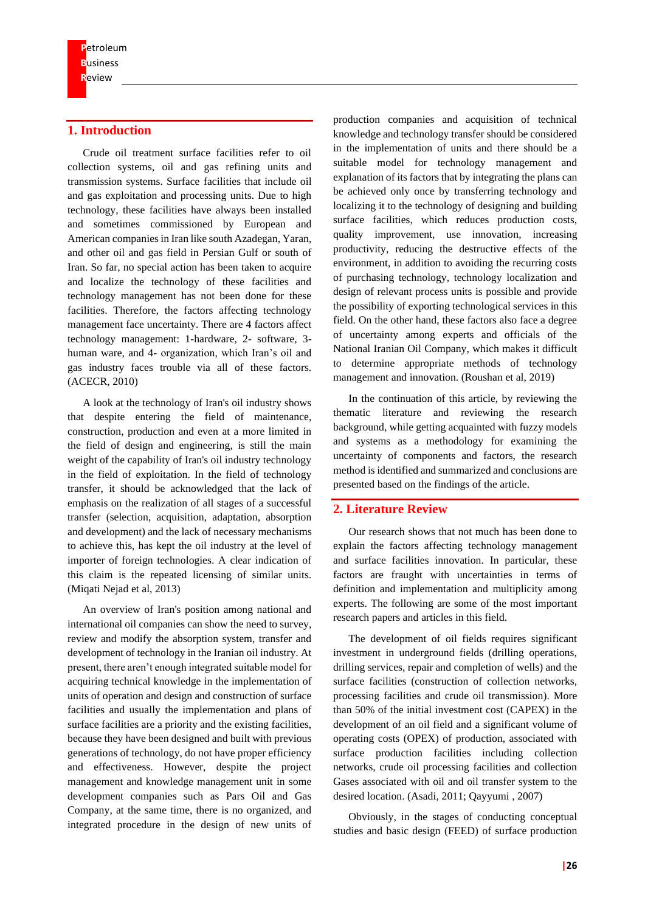# **1. Introduction**

Crude oil treatment surface facilities refer to oil collection systems, oil and gas refining units and transmission systems. Surface facilities that include oil and gas exploitation and processing units. Due to high technology, these facilities have always been installed and sometimes commissioned by European and American companies in Iran like south Azadegan, Yaran, and other oil and gas field in Persian Gulf or south of Iran. So far, no special action has been taken to acquire and localize the technology of these facilities and technology management has not been done for these facilities. Therefore, the factors affecting technology management face uncertainty. There are 4 factors affect technology management: 1-hardware, 2- software, 3 human ware, and 4- organization, which Iran's oil and gas industry faces trouble via all of these factors. (ACECR, 2010)

A look at the technology of Iran's oil industry shows that despite entering the field of maintenance, construction, production and even at a more limited in the field of design and engineering, is still the main weight of the capability of Iran's oil industry technology in the field of exploitation. In the field of technology transfer, it should be acknowledged that the lack of emphasis on the realization of all stages of a successful transfer (selection, acquisition, adaptation, absorption and development) and the lack of necessary mechanisms to achieve this, has kept the oil industry at the level of importer of foreign technologies. A clear indication of this claim is the repeated licensing of similar units. (Miqati Nejad et al, 2013)

An overview of Iran's position among national and international oil companies can show the need to survey, review and modify the absorption system, transfer and development of technology in the Iranian oil industry. At present, there aren't enough integrated suitable model for acquiring technical knowledge in the implementation of units of operation and design and construction of surface facilities and usually the implementation and plans of surface facilities are a priority and the existing facilities, because they have been designed and built with previous generations of technology, do not have proper efficiency and effectiveness. However, despite the project management and knowledge management unit in some development companies such as Pars Oil and Gas Company, at the same time, there is no organized, and integrated procedure in the design of new units of

production companies and acquisition of technical knowledge and technology transfer should be considered in the implementation of units and there should be a suitable model for technology management and explanation of its factors that by integrating the plans can be achieved only once by transferring technology and localizing it to the technology of designing and building surface facilities, which reduces production costs, quality improvement, use innovation, increasing productivity, reducing the destructive effects of the environment, in addition to avoiding the recurring costs of purchasing technology, technology localization and design of relevant process units is possible and provide the possibility of exporting technological services in this field. On the other hand, these factors also face a degree of uncertainty among experts and officials of the National Iranian Oil Company, which makes it difficult to determine appropriate methods of technology management and innovation. (Roushan et al, 2019)

In the continuation of this article, by reviewing the thematic literature and reviewing the research background, while getting acquainted with fuzzy models and systems as a methodology for examining the uncertainty of components and factors, the research method is identified and summarized and conclusions are presented based on the findings of the article.

# **2. Literature Review**

Our research shows that not much has been done to explain the factors affecting technology management and surface facilities innovation. In particular, these factors are fraught with uncertainties in terms of definition and implementation and multiplicity among experts. The following are some of the most important research papers and articles in this field.

The development of oil fields requires significant investment in underground fields (drilling operations, drilling services, repair and completion of wells) and the surface facilities (construction of collection networks, processing facilities and crude oil transmission). More than 50% of the initial investment cost (CAPEX) in the development of an oil field and a significant volume of operating costs (OPEX) of production, associated with surface production facilities including collection networks, crude oil processing facilities and collection Gases associated with oil and oil transfer system to the desired location. (Asadi, 2011; Qayyumi , 2007)

Obviously, in the stages of conducting conceptual studies and basic design (FEED) of surface production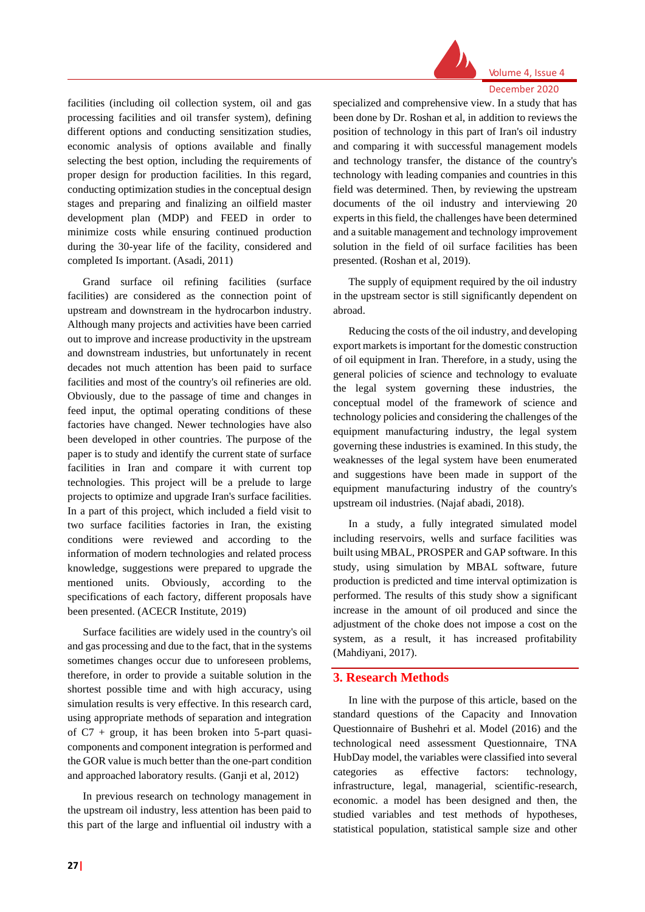

Volume 4, Issue 4 December 2020

# facilities (including oil collection system, oil and gas processing facilities and oil transfer system), defining different options and conducting sensitization studies, economic analysis of options available and finally selecting the best option, including the requirements of proper design for production facilities. In this regard, conducting optimization studies in the conceptual design stages and preparing and finalizing an oilfield master development plan (MDP) and FEED in order to minimize costs while ensuring continued production during the 30-year life of the facility, considered and completed Is important. (Asadi, 2011)

Grand surface oil refining facilities (surface facilities) are considered as the connection point of upstream and downstream in the hydrocarbon industry. Although many projects and activities have been carried out to improve and increase productivity in the upstream and downstream industries, but unfortunately in recent decades not much attention has been paid to surface facilities and most of the country's oil refineries are old. Obviously, due to the passage of time and changes in feed input, the optimal operating conditions of these factories have changed. Newer technologies have also been developed in other countries. The purpose of the paper is to study and identify the current state of surface facilities in Iran and compare it with current top technologies. This project will be a prelude to large projects to optimize and upgrade Iran's surface facilities. In a part of this project, which included a field visit to two surface facilities factories in Iran, the existing conditions were reviewed and according to the information of modern technologies and related process knowledge, suggestions were prepared to upgrade the mentioned units. Obviously, according to the specifications of each factory, different proposals have been presented. (ACECR Institute, 2019)

Surface facilities are widely used in the country's oil and gas processing and due to the fact, that in the systems sometimes changes occur due to unforeseen problems, therefore, in order to provide a suitable solution in the shortest possible time and with high accuracy, using simulation results is very effective. In this research card, using appropriate methods of separation and integration of  $C7$  + group, it has been broken into 5-part quasicomponents and component integration is performed and the GOR value is much better than the one-part condition and approached laboratory results. (Ganji et al, 2012)

In previous research on technology management in the upstream oil industry, less attention has been paid to this part of the large and influential oil industry with a specialized and comprehensive view. In a study that has been done by Dr. Roshan et al, in addition to reviews the position of technology in this part of Iran's oil industry and comparing it with successful management models and technology transfer, the distance of the country's technology with leading companies and countries in this field was determined. Then, by reviewing the upstream documents of the oil industry and interviewing 20 experts in this field, the challenges have been determined and a suitable management and technology improvement solution in the field of oil surface facilities has been presented. (Roshan et al, 2019).

The supply of equipment required by the oil industry in the upstream sector is still significantly dependent on abroad.

Reducing the costs of the oil industry, and developing export markets is important for the domestic construction of oil equipment in Iran. Therefore, in a study, using the general policies of science and technology to evaluate the legal system governing these industries, the conceptual model of the framework of science and technology policies and considering the challenges of the equipment manufacturing industry, the legal system governing these industries is examined. In this study, the weaknesses of the legal system have been enumerated and suggestions have been made in support of the equipment manufacturing industry of the country's upstream oil industries. (Najaf abadi, 2018).

In a study, a fully integrated simulated model including reservoirs, wells and surface facilities was built using MBAL, PROSPER and GAP software. In this study, using simulation by MBAL software, future production is predicted and time interval optimization is performed. The results of this study show a significant increase in the amount of oil produced and since the adjustment of the choke does not impose a cost on the system, as a result, it has increased profitability (Mahdiyani, 2017).

# **3. Research Methods**

In line with the purpose of this article, based on the standard questions of the Capacity and Innovation Questionnaire of Bushehri et al. Model (2016) and the technological need assessment Questionnaire, TNA HubDay model, the variables were classified into several categories as effective factors: technology, infrastructure, legal, managerial, scientific-research, economic. a model has been designed and then, the studied variables and test methods of hypotheses, statistical population, statistical sample size and other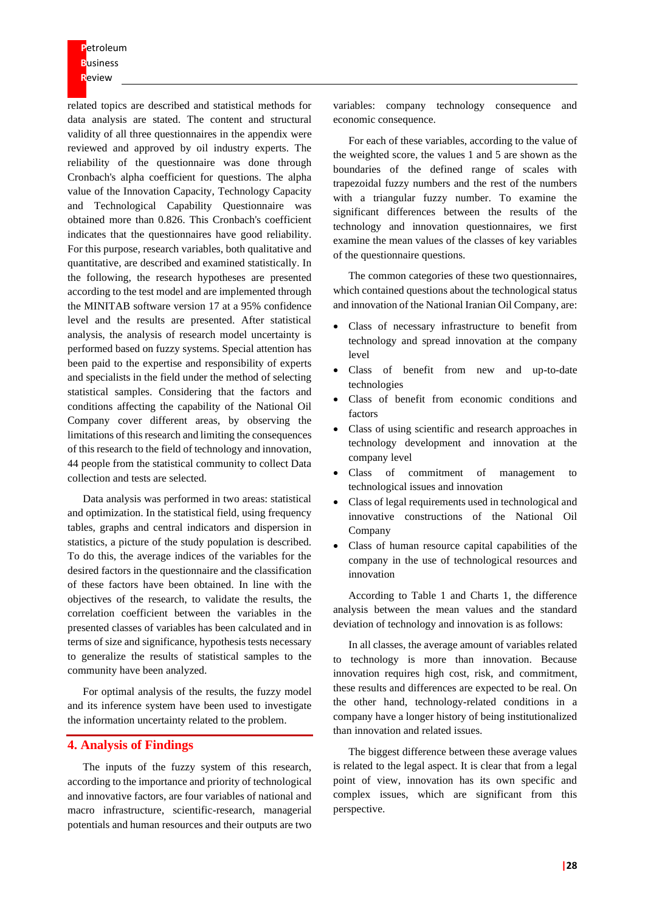**P**etroleum **B**usiness **R**eview

related topics are described and statistical methods for data analysis are stated. The content and structural validity of all three questionnaires in the appendix were reviewed and approved by oil industry experts. The reliability of the questionnaire was done through Cronbach's alpha coefficient for questions. The alpha value of the Innovation Capacity, Technology Capacity and Technological Capability Questionnaire was obtained more than 0.826. This Cronbach's coefficient indicates that the questionnaires have good reliability. For this purpose, research variables, both qualitative and quantitative, are described and examined statistically. In the following, the research hypotheses are presented according to the test model and are implemented through the MINITAB software version 17 at a 95% confidence level and the results are presented. After statistical analysis, the analysis of research model uncertainty is performed based on fuzzy systems. Special attention has been paid to the expertise and responsibility of experts and specialists in the field under the method of selecting statistical samples. Considering that the factors and conditions affecting the capability of the National Oil Company cover different areas, by observing the limitations of this research and limiting the consequences of this research to the field of technology and innovation, 44 people from the statistical community to collect Data collection and tests are selected.

Data analysis was performed in two areas: statistical and optimization. In the statistical field, using frequency tables, graphs and central indicators and dispersion in statistics, a picture of the study population is described. To do this, the average indices of the variables for the desired factors in the questionnaire and the classification of these factors have been obtained. In line with the objectives of the research, to validate the results, the correlation coefficient between the variables in the presented classes of variables has been calculated and in terms of size and significance, hypothesis tests necessary to generalize the results of statistical samples to the community have been analyzed.

For optimal analysis of the results, the fuzzy model and its inference system have been used to investigate the information uncertainty related to the problem.

# **4. Analysis of Findings**

The inputs of the fuzzy system of this research, according to the importance and priority of technological and innovative factors, are four variables of national and macro infrastructure, scientific-research, managerial potentials and human resources and their outputs are two

variables: company technology consequence and economic consequence.

For each of these variables, according to the value of the weighted score, the values 1 and 5 are shown as the boundaries of the defined range of scales with trapezoidal fuzzy numbers and the rest of the numbers with a triangular fuzzy number. To examine the significant differences between the results of the technology and innovation questionnaires, we first examine the mean values of the classes of key variables of the questionnaire questions.

The common categories of these two questionnaires, which contained questions about the technological status and innovation of the National Iranian Oil Company, are:

- Class of necessary infrastructure to benefit from technology and spread innovation at the company level
- Class of benefit from new and up-to-date technologies
- Class of benefit from economic conditions and factors
- Class of using scientific and research approaches in technology development and innovation at the company level
- Class of commitment of management to technological issues and innovation
- Class of legal requirements used in technological and innovative constructions of the National Oil Company
- Class of human resource capital capabilities of the company in the use of technological resources and innovation

According to Table 1 and Charts 1, the difference analysis between the mean values and the standard deviation of technology and innovation is as follows:

In all classes, the average amount of variables related to technology is more than innovation. Because innovation requires high cost, risk, and commitment, these results and differences are expected to be real. On the other hand, technology-related conditions in a company have a longer history of being institutionalized than innovation and related issues.

The biggest difference between these average values is related to the legal aspect. It is clear that from a legal point of view, innovation has its own specific and complex issues, which are significant from this perspective.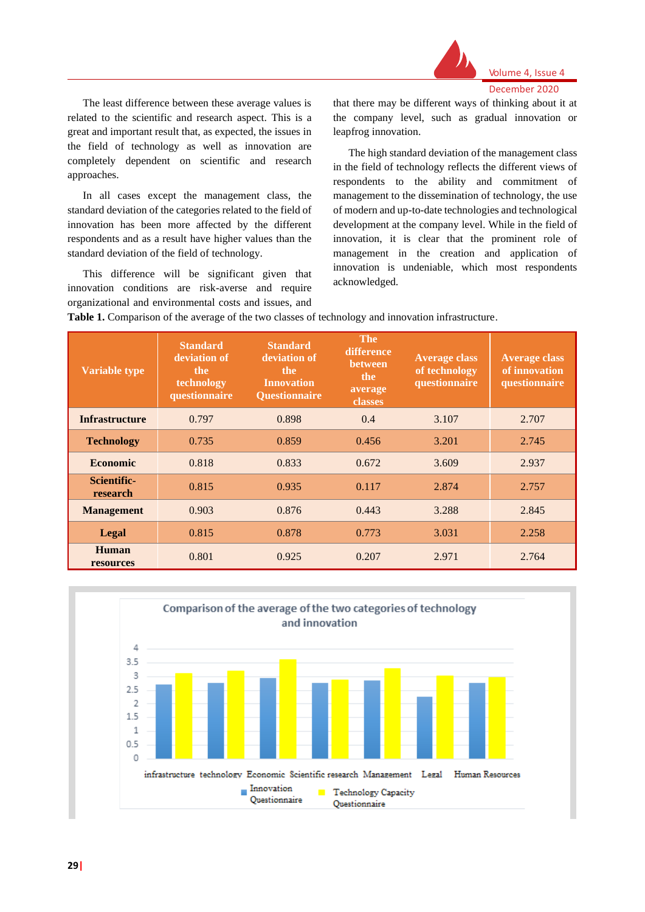

The least difference between these average values is related to the scientific and research aspect. This is a great and important result that, as expected, the issues in the field of technology as well as innovation are completely dependent on scientific and research approaches.

In all cases except the management class, the standard deviation of the categories related to the field of innovation has been more affected by the different respondents and as a result have higher values than the standard deviation of the field of technology.

This difference will be significant given that innovation conditions are risk-averse and require organizational and environmental costs and issues, and that there may be different ways of thinking about it at the company level, such as gradual innovation or leapfrog innovation.

The high standard deviation of the management class in the field of technology reflects the different views of respondents to the ability and commitment of management to the dissemination of technology, the use of modern and up-to-date technologies and technological development at the company level. While in the field of innovation, it is clear that the prominent role of management in the creation and application of innovation is undeniable, which most respondents acknowledged.

**Table 1.** Comparison of the average of the two classes of technology and innovation infrastructure.

| <b>Variable type</b>    | <b>Standard</b><br>deviation of<br>the<br>technology<br>questionnaire | <b>Standard</b><br>deviation of<br>the.<br><b>Innovation</b><br><b>Ouestionnaire</b> | <b>The</b><br>difference<br><b>between</b><br>the<br>average<br>classes | <b>Average class</b><br>of technology<br>questionnaire | <b>Average class</b><br>of innovation<br>questionnaire |
|-------------------------|-----------------------------------------------------------------------|--------------------------------------------------------------------------------------|-------------------------------------------------------------------------|--------------------------------------------------------|--------------------------------------------------------|
| <b>Infrastructure</b>   | 0.797                                                                 | 0.898                                                                                | 0.4                                                                     | 3.107                                                  | 2.707                                                  |
| <b>Technology</b>       | 0.735                                                                 | 0.859                                                                                | 0.456                                                                   | 3.201                                                  | 2.745                                                  |
| <b>Economic</b>         | 0.818                                                                 | 0.833                                                                                | 0.672                                                                   | 3.609                                                  | 2.937                                                  |
| Scientific-<br>research | 0.815                                                                 | 0.935                                                                                | 0.117                                                                   | 2.874                                                  | 2.757                                                  |
| <b>Management</b>       | 0.903                                                                 | 0.876                                                                                | 0.443                                                                   | 3.288                                                  | 2.845                                                  |
| Legal                   | 0.815                                                                 | 0.878                                                                                | 0.773                                                                   | 3.031                                                  | 2.258                                                  |
| Human<br>resources      | 0.801                                                                 | 0.925                                                                                | 0.207                                                                   | 2.971                                                  | 2.764                                                  |

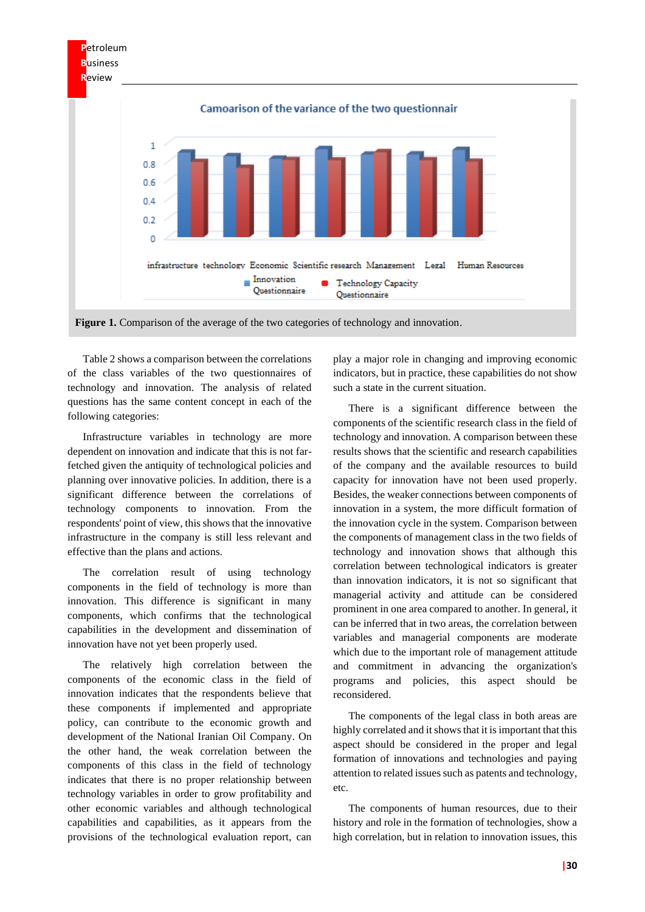

**Figure 1.** Comparison of the average of the two categories of technology and innovation.

Table 2 shows a comparison between the correlations of the class variables of the two questionnaires of technology and innovation. The analysis of related questions has the same content concept in each of the following categories:

Infrastructure variables in technology are more dependent on innovation and indicate that this is not farfetched given the antiquity of technological policies and planning over innovative policies. In addition, there is a significant difference between the correlations of technology components to innovation. From the respondents' point of view, this shows that the innovative infrastructure in the company is still less relevant and effective than the plans and actions.

The correlation result of using technology components in the field of technology is more than innovation. This difference is significant in many components, which confirms that the technological capabilities in the development and dissemination of innovation have not yet been properly used.

The relatively high correlation between the components of the economic class in the field of innovation indicates that the respondents believe that these components if implemented and appropriate policy, can contribute to the economic growth and development of the National Iranian Oil Company. On the other hand, the weak correlation between the components of this class in the field of technology indicates that there is no proper relationship between technology variables in order to grow profitability and other economic variables and although technological capabilities and capabilities, as it appears from the provisions of the technological evaluation report, can

play a major role in changing and improving economic indicators, but in practice, these capabilities do not show such a state in the current situation.

There is a significant difference between the components of the scientific research class in the field of technology and innovation. A comparison between these results shows that the scientific and research capabilities of the company and the available resources to build capacity for innovation have not been used properly. Besides, the weaker connections between components of innovation in a system, the more difficult formation of the innovation cycle in the system. Comparison between the components of management class in the two fields of technology and innovation shows that although this correlation between technological indicators is greater than innovation indicators, it is not so significant that managerial activity and attitude can be considered prominent in one area compared to another. In general, it can be inferred that in two areas, the correlation between variables and managerial components are moderate which due to the important role of management attitude and commitment in advancing the organization's programs and policies, this aspect should be reconsidered.

The components of the legal class in both areas are highly correlated and it shows that it is important that this aspect should be considered in the proper and legal formation of innovations and technologies and paying attention to related issues such as patents and technology, etc.

The components of human resources, due to their history and role in the formation of technologies, show a high correlation, but in relation to innovation issues, this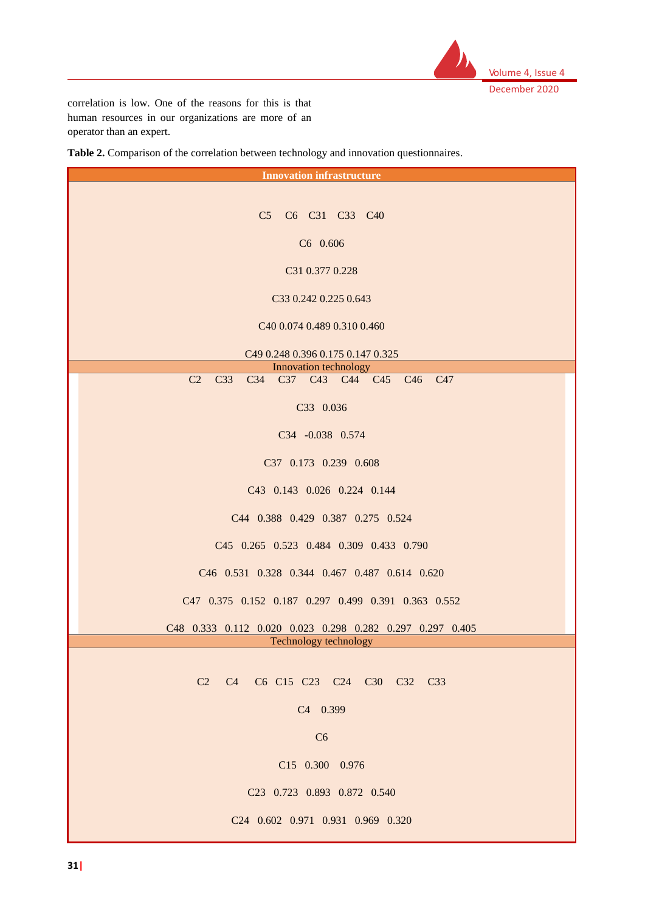

correlation is low. One of the reasons for this is that human resources in our organizations are more of an operator than an expert.

**Table 2.** Comparison of the correlation between technology and innovation questionnaires.

| <b>Innovation infrastructure</b>                                                                                                             |  |  |  |  |  |
|----------------------------------------------------------------------------------------------------------------------------------------------|--|--|--|--|--|
|                                                                                                                                              |  |  |  |  |  |
| C5 C6 C31 C33 C40                                                                                                                            |  |  |  |  |  |
| C6 0.606                                                                                                                                     |  |  |  |  |  |
| C31 0.377 0.228                                                                                                                              |  |  |  |  |  |
| C33 0.242 0.225 0.643                                                                                                                        |  |  |  |  |  |
|                                                                                                                                              |  |  |  |  |  |
| C40 0.074 0.489 0.310 0.460                                                                                                                  |  |  |  |  |  |
| C49 0.248 0.396 0.175 0.147 0.325                                                                                                            |  |  |  |  |  |
| Innovation technology<br>C2<br>C <sub>33</sub><br>C34 C37 C43 C44 C45 C46<br>C <sub>47</sub>                                                 |  |  |  |  |  |
|                                                                                                                                              |  |  |  |  |  |
| C33 0.036                                                                                                                                    |  |  |  |  |  |
| C34 -0.038 0.574                                                                                                                             |  |  |  |  |  |
| C37 0.173 0.239 0.608                                                                                                                        |  |  |  |  |  |
| C43 0.143 0.026 0.224 0.144                                                                                                                  |  |  |  |  |  |
| C44 0.388 0.429 0.387 0.275 0.524                                                                                                            |  |  |  |  |  |
| C45 0.265 0.523 0.484 0.309 0.433 0.790                                                                                                      |  |  |  |  |  |
| C46 0.531 0.328 0.344 0.467 0.487 0.614 0.620                                                                                                |  |  |  |  |  |
| C47 0.375 0.152 0.187 0.297 0.499 0.391 0.363 0.552                                                                                          |  |  |  |  |  |
|                                                                                                                                              |  |  |  |  |  |
| C48 0.333 0.112 0.020 0.023 0.298 0.282 0.297 0.297 0.405<br>Technology technology                                                           |  |  |  |  |  |
|                                                                                                                                              |  |  |  |  |  |
| C <sub>2</sub> C <sub>4</sub> C <sub>6</sub> C <sub>15</sub> C <sub>23</sub> C <sub>24</sub> C <sub>30</sub> C <sub>32</sub> C <sub>33</sub> |  |  |  |  |  |
| C4 0.399                                                                                                                                     |  |  |  |  |  |
| C6                                                                                                                                           |  |  |  |  |  |
| C15 0.300 0.976                                                                                                                              |  |  |  |  |  |
|                                                                                                                                              |  |  |  |  |  |
| C23 0.723 0.893 0.872 0.540                                                                                                                  |  |  |  |  |  |
| C24 0.602 0.971 0.931 0.969 0.320                                                                                                            |  |  |  |  |  |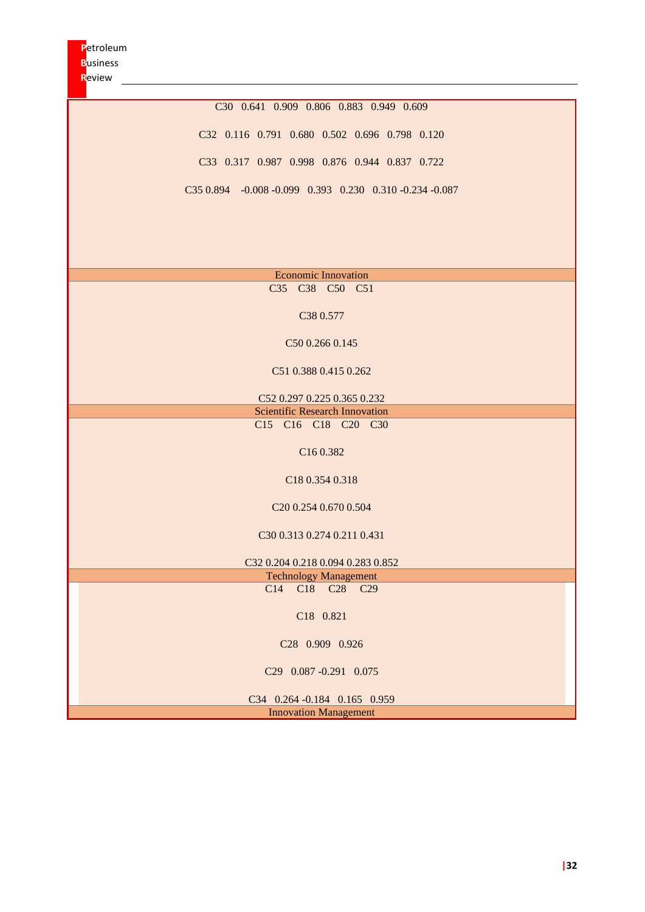C30 0.641 0.909 0.806 0.883 0.949 0.609 C32 0.116 0.791 0.680 0.502 0.696 0.798 0.120 C33 0.317 0.987 0.998 0.876 0.944 0.837 0.722 C35 0.894 -0.008 -0.099 0.393 0.230 0.310 -0.234 -0.087

|  | <b>Economic Innovation</b>                                      |  |
|--|-----------------------------------------------------------------|--|
|  | C <sub>35</sub> C <sub>38</sub> C <sub>50</sub> C <sub>51</sub> |  |

C38 0.577

C50 0.266 0.145

C51 0.388 0.415 0.262

C52 0.297 0.225 0.365 0.232 Scientific Research Innovation C15 C16 C18 C20 C30

C16 0.382

C18 0.354 0.318

C20 0.254 0.670 0.504

C30 0.313 0.274 0.211 0.431

C32 0.204 0.218 0.094 0.283 0.852

Technology Management C<sub>14</sub> C<sub>18</sub> C<sub>28</sub> C<sub>29</sub>

C18 0.821

C28 0.909 0.926

C29 0.087 -0.291 0.075

C34 0.264 -0.184 0.165 0.959 Innovation Management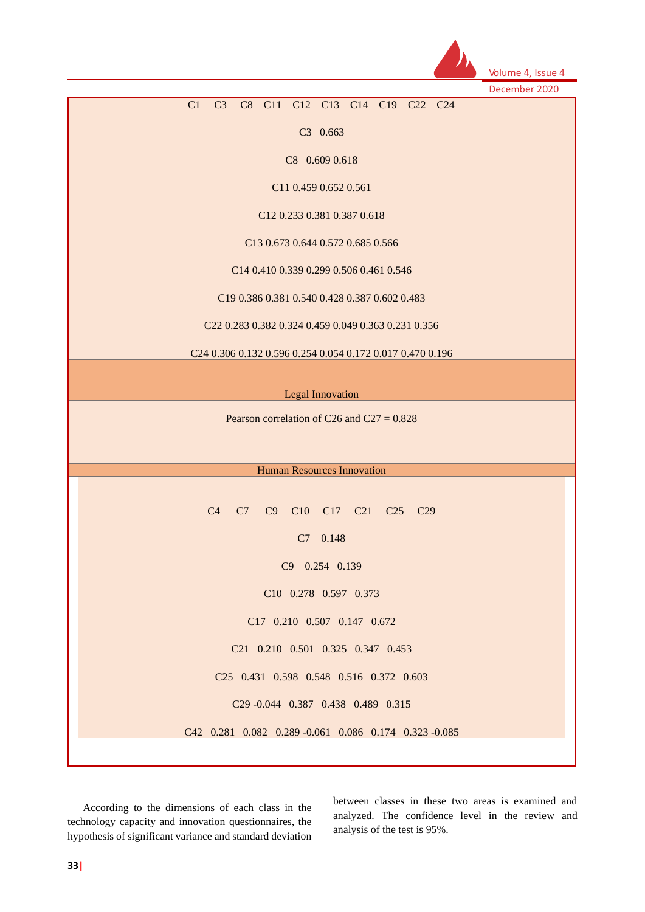

Volume 4, Issue 4

December 2020

### C1 C3 C8 C11 C12 C13 C14 C19 C22 C24

C3 0.663

C8 0.609 0.618

C11 0.459 0.652 0.561

C12 0.233 0.381 0.387 0.618

C13 0.673 0.644 0.572 0.685 0.566

C14 0.410 0.339 0.299 0.506 0.461 0.546

C19 0.386 0.381 0.540 0.428 0.387 0.602 0.483

C22 0.283 0.382 0.324 0.459 0.049 0.363 0.231 0.356

C24 0.306 0.132 0.596 0.254 0.054 0.172 0.017 0.470 0.196

| <b>Legal Innovation</b> |
|-------------------------|

Pearson correlation of C26 and C27 =  $0.828$ 

Human Resources Innovation

C4 C7 C9 C10 C17 C21 C25 C29 C7 0.148 C9 0.254 0.139 C10 0.278 0.597 0.373 C17 0.210 0.507 0.147 0.672 C21 0.210 0.501 0.325 0.347 0.453 C25 0.431 0.598 0.548 0.516 0.372 0.603 C29 -0.044 0.387 0.438 0.489 0.315 C42 0.281 0.082 0.289 -0.061 0.086 0.174 0.323 -0.085

According to the dimensions of each class in the technology capacity and innovation questionnaires, the hypothesis of significant variance and standard deviation

between classes in these two areas is examined and analyzed. The confidence level in the review and analysis of the test is 95%.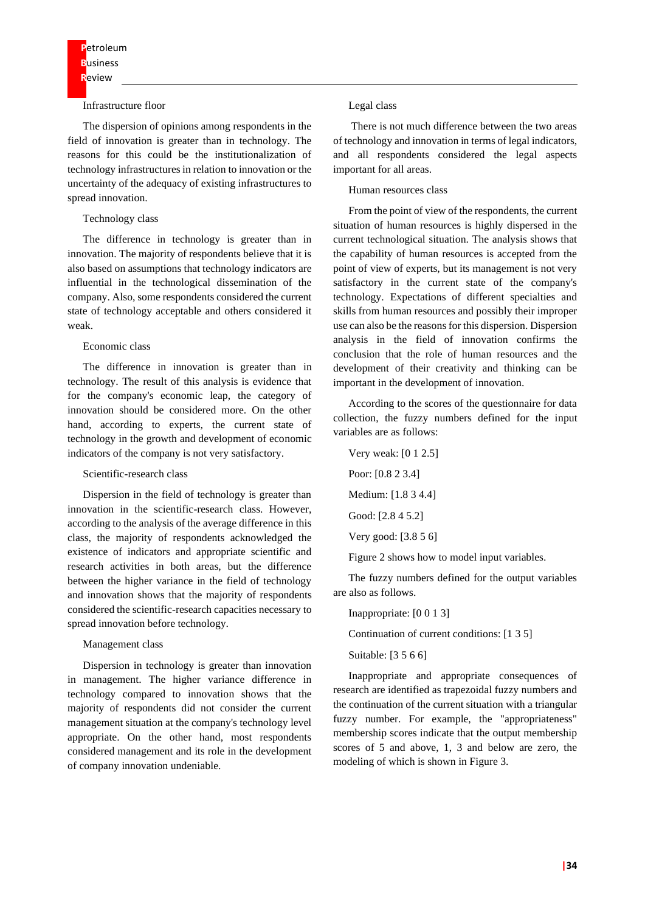#### Infrastructure floor

The dispersion of opinions among respondents in the field of innovation is greater than in technology. The reasons for this could be the institutionalization of technology infrastructures in relation to innovation or the uncertainty of the adequacy of existing infrastructures to spread innovation.

#### Technology class

The difference in technology is greater than in innovation. The majority of respondents believe that it is also based on assumptions that technology indicators are influential in the technological dissemination of the company. Also, some respondents considered the current state of technology acceptable and others considered it weak.

#### Economic class

The difference in innovation is greater than in technology. The result of this analysis is evidence that for the company's economic leap, the category of innovation should be considered more. On the other hand, according to experts, the current state of technology in the growth and development of economic indicators of the company is not very satisfactory.

#### Scientific-research class

Dispersion in the field of technology is greater than innovation in the scientific-research class. However, according to the analysis of the average difference in this class, the majority of respondents acknowledged the existence of indicators and appropriate scientific and research activities in both areas, but the difference between the higher variance in the field of technology and innovation shows that the majority of respondents considered the scientific-research capacities necessary to spread innovation before technology.

#### Management class

Dispersion in technology is greater than innovation in management. The higher variance difference in technology compared to innovation shows that the majority of respondents did not consider the current management situation at the company's technology level appropriate. On the other hand, most respondents considered management and its role in the development of company innovation undeniable.

### Legal class

There is not much difference between the two areas of technology and innovation in terms of legal indicators, and all respondents considered the legal aspects important for all areas.

#### Human resources class

From the point of view of the respondents, the current situation of human resources is highly dispersed in the current technological situation. The analysis shows that the capability of human resources is accepted from the point of view of experts, but its management is not very satisfactory in the current state of the company's technology. Expectations of different specialties and skills from human resources and possibly their improper use can also be the reasons for this dispersion. Dispersion analysis in the field of innovation confirms the conclusion that the role of human resources and the development of their creativity and thinking can be important in the development of innovation.

According to the scores of the questionnaire for data collection, the fuzzy numbers defined for the input variables are as follows:

Very weak: [0 1 2.5] Poor: [0.8 2 3.4] Medium: [1.8 3 4.4] Good: [2.8 4 5.2] Very good: [3.8 5 6]

Figure 2 shows how to model input variables.

The fuzzy numbers defined for the output variables are also as follows.

Inappropriate: [0 0 1 3]

Continuation of current conditions: [1 3 5]

Suitable: [3 5 6 6]

Inappropriate and appropriate consequences of research are identified as trapezoidal fuzzy numbers and the continuation of the current situation with a triangular fuzzy number. For example, the "appropriateness" membership scores indicate that the output membership scores of 5 and above, 1, 3 and below are zero, the modeling of which is shown in Figure 3.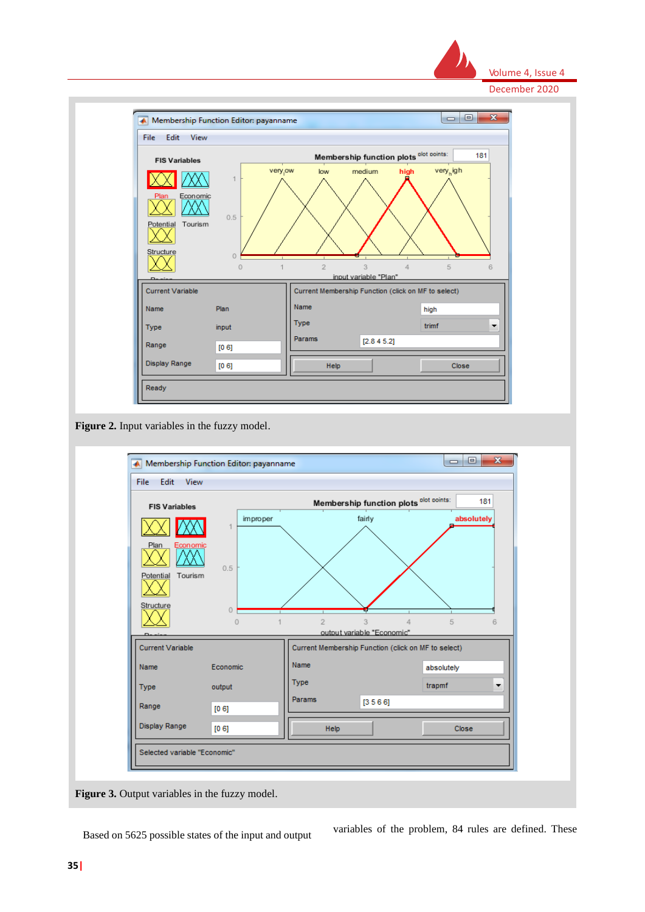



**Figure 2.** Input variables in the fuzzy model.



Figure 3. Output variables in the fuzzy model.

Based on 5625 possible states of the input and output variables of the problem, 84 rules are defined. These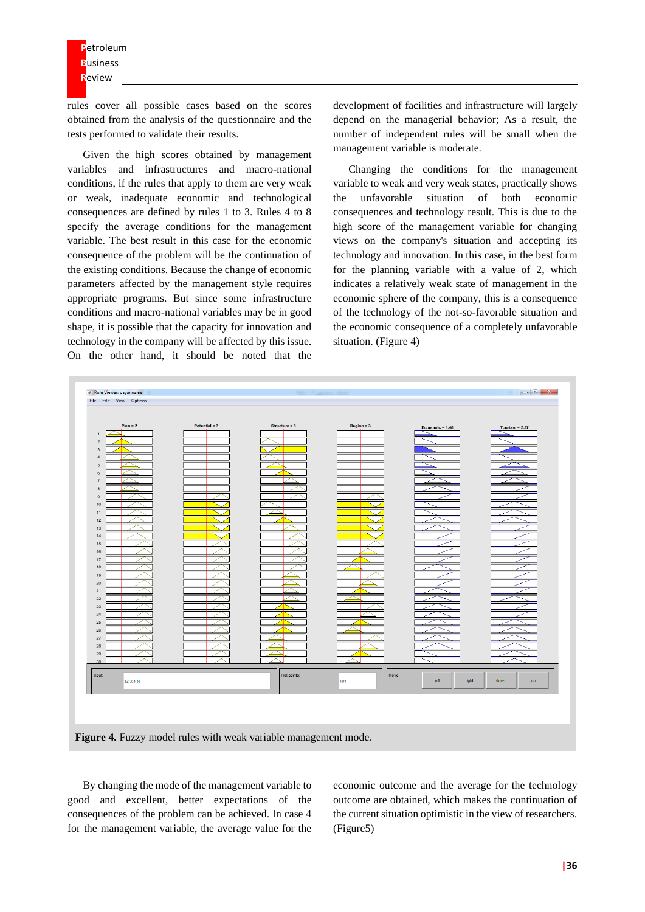rules cover all possible cases based on the scores obtained from the analysis of the questionnaire and the tests performed to validate their results.

Given the high scores obtained by management variables and infrastructures and macro-national conditions, if the rules that apply to them are very weak or weak, inadequate economic and technological consequences are defined by rules 1 to 3. Rules 4 to 8 specify the average conditions for the management variable. The best result in this case for the economic consequence of the problem will be the continuation of the existing conditions. Because the change of economic parameters affected by the management style requires appropriate programs. But since some infrastructure conditions and macro-national variables may be in good shape, it is possible that the capacity for innovation and technology in the company will be affected by this issue. On the other hand, it should be noted that the

development of facilities and infrastructure will largely depend on the managerial behavior; As a result, the number of independent rules will be small when the management variable is moderate.

Changing the conditions for the management variable to weak and very weak states, practically shows the unfavorable situation of both economic consequences and technology result. This is due to the high score of the management variable for changing views on the company's situation and accepting its technology and innovation. In this case, in the best form for the planning variable with a value of 2, which indicates a relatively weak state of management in the economic sphere of the company, this is a consequence of the technology of the not-so-favorable situation and the economic consequence of a completely unfavorable situation. (Figure 4)



By changing the mode of the management variable to good and excellent, better expectations of the consequences of the problem can be achieved. In case 4 for the management variable, the average value for the

economic outcome and the average for the technology outcome are obtained, which makes the continuation of the current situation optimistic in the view of researchers. (Figure5)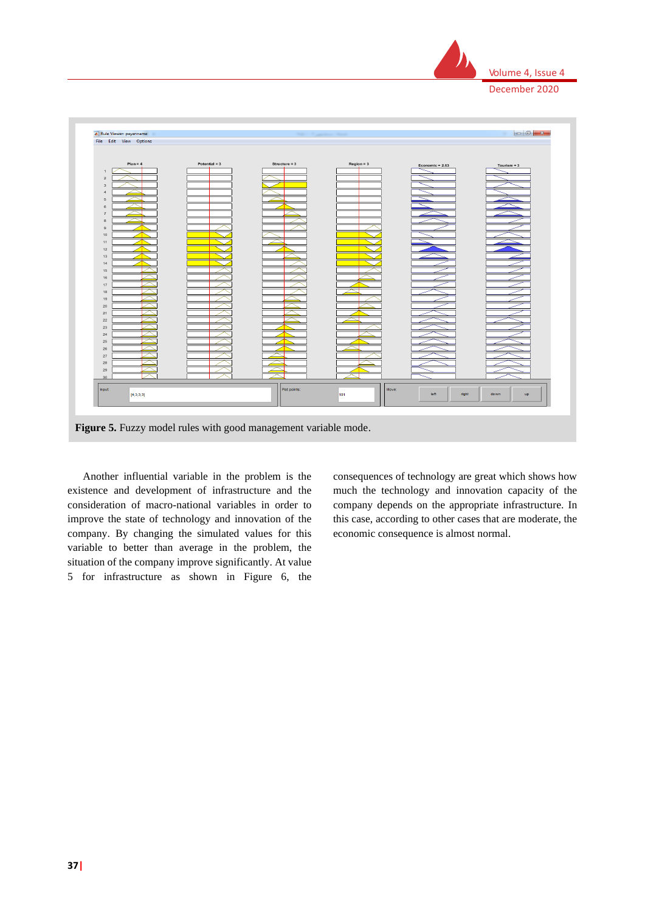



Figure 5. Fuzzy model rules with good management variable mode.

Another influential variable in the problem is the existence and development of infrastructure and the consideration of macro-national variables in order to improve the state of technology and innovation of the company. By changing the simulated values for this variable to better than average in the problem, the situation of the company improve significantly. At value 5 for infrastructure as shown in Figure 6, the

consequences of technology are great which shows how much the technology and innovation capacity of the company depends on the appropriate infrastructure. In this case, according to other cases that are moderate, the economic consequence is almost normal.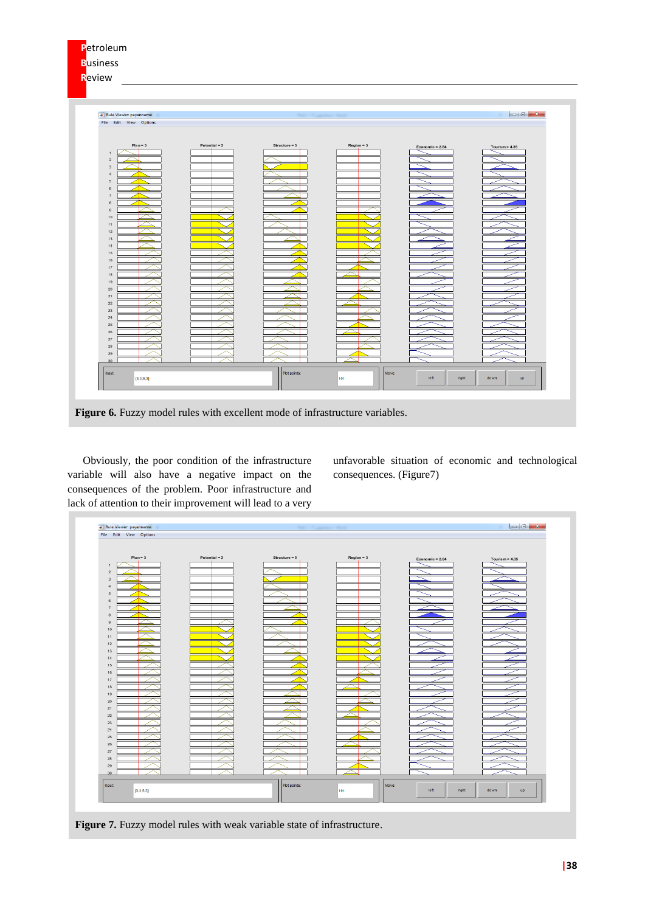| Petroleum<br><b>Business</b><br>Review                                                                                                                                                                                                                                                                             |                 |                 |              |                   |                                                                                           |
|--------------------------------------------------------------------------------------------------------------------------------------------------------------------------------------------------------------------------------------------------------------------------------------------------------------------|-----------------|-----------------|--------------|-------------------|-------------------------------------------------------------------------------------------|
| Rule Viewer: payanname<br>File Edit View Options                                                                                                                                                                                                                                                                   |                 |                 |              |                   | $\begin{array}{c c c c c} \hline \multicolumn{1}{c }{\mathbf{0} & \mathbf{x} \end{array}$ |
| $Plan = 3$<br>$\overline{1}$<br>$\,$ 2 $\,$<br>$_{\rm 3}$<br>$\it 4$<br>$\,$ 5 $\,$<br>6<br>$\scriptstyle\rm{7}$<br>$^{\rm 8}$<br>$\,9$<br>$10$<br>11<br>12<br>13<br>14<br>15<br>16<br>$17\,$<br>18<br>19<br>$20\,$<br>$21\,$<br>$22\,$<br>23<br>$24\,$<br>25<br>$\rm 26$<br>27<br>$28\,$<br>29<br>30 <sub>2</sub> | Potential $= 3$ | Structure = $5$ | $Region = 3$ | Economic = $2.84$ | Tourism = $4.35$                                                                          |
| Input:<br>[3;3;5;3]                                                                                                                                                                                                                                                                                                |                 | Plot points:    | Move:<br>101 | left<br>right     | down<br>up                                                                                |

Obviously, the poor condition of the infrastructure variable will also have a negative impact on the consequences of the problem. Poor infrastructure and lack of attention to their improvement will lead to a very

unfavorable situation of economic and technological consequences. (Figure7)

| Rule Viewer: payanname   |                 | -               |              |                   |                   |
|--------------------------|-----------------|-----------------|--------------|-------------------|-------------------|
| File Edit View Options   |                 |                 |              |                   |                   |
| $Plan = 3$               | Potential $= 3$ |                 |              |                   |                   |
| $\,1\,$                  |                 | Structure = $5$ | $Region = 3$ | Economic = $2.84$ | Tourism = $4.35$  |
| $\sqrt{2}$               |                 |                 |              |                   |                   |
| $\overline{\mathbf{3}}$  |                 |                 |              |                   |                   |
| $\sqrt{4}$               |                 |                 |              |                   |                   |
| $\sqrt{5}$<br>$_{\rm 6}$ |                 |                 |              |                   |                   |
| $\scriptstyle{7}$        |                 |                 |              |                   |                   |
| $^{\rm 8}$               |                 |                 |              |                   |                   |
| $_{9}$                   |                 |                 |              |                   |                   |
| 10<br>11                 |                 |                 |              |                   |                   |
| 12                       |                 |                 |              |                   |                   |
| 13                       |                 |                 |              |                   |                   |
| $14\,$                   |                 |                 |              |                   |                   |
| 15<br>$16\,$             |                 |                 |              |                   |                   |
| $17\,$                   |                 |                 |              |                   |                   |
| $18\,$                   |                 |                 |              |                   |                   |
| 19                       |                 |                 |              |                   |                   |
| $20\,$<br>21             |                 |                 |              |                   |                   |
| 22                       |                 |                 |              |                   |                   |
| 23                       |                 |                 |              |                   |                   |
| $24\,$                   |                 |                 |              |                   |                   |
| $25\,$<br>$26\,$         |                 |                 |              |                   |                   |
| $27\,$                   |                 |                 |              |                   |                   |
| 28                       |                 |                 |              |                   |                   |
| 29<br>30                 |                 |                 |              |                   |                   |
|                          |                 |                 |              |                   |                   |
| Input:<br>[3;3;5;3]      |                 | Plot points:    | Move:<br>101 | left<br>right     | down<br><b>up</b> |
|                          |                 |                 |              |                   |                   |

Figure 7. Fuzzy model rules with weak variable state of infrastructure.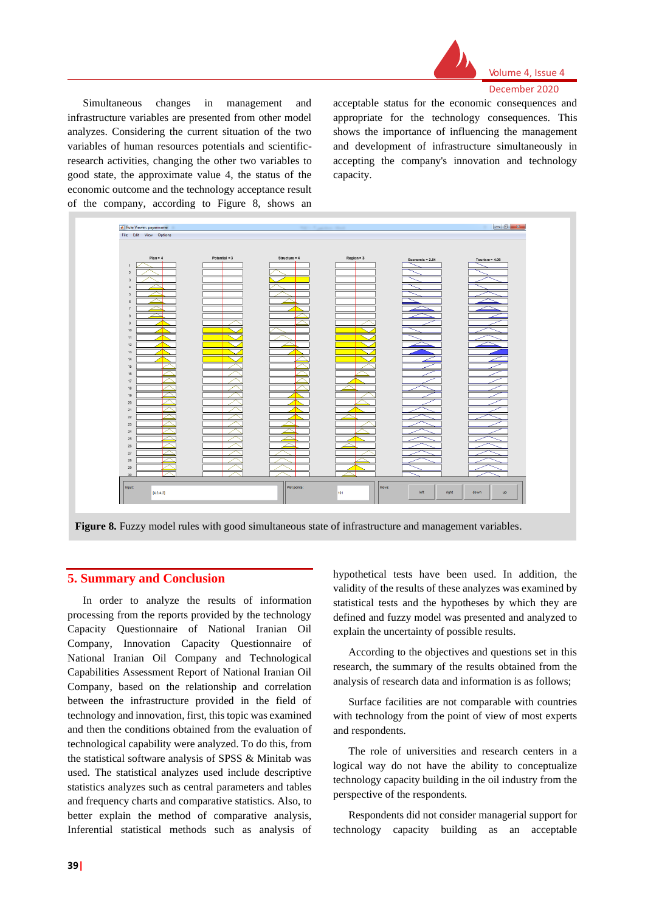

#### Volume 4, Issue 4 December 2020

Simultaneous changes in management and infrastructure variables are presented from other model analyzes. Considering the current situation of the two variables of human resources potentials and scientificresearch activities, changing the other two variables to good state, the approximate value 4, the status of the economic outcome and the technology acceptance result of the company, according to Figure 8, shows an

acceptable status for the economic consequences and appropriate for the technology consequences. This shows the importance of influencing the management and development of infrastructure simultaneously in accepting the company's innovation and technology capacity.

| Rule Viewer: payanname<br>File Edit View Options |                 | <b>REGISTER CONTINUES INCOME.</b> |              |                   | $\begin{array}{c c c c c} \hline \multicolumn{3}{ c }{\multicolumn{3}{c }{\multicolumn{3}{c }{\multicolumn{3}{c }{\multicolumn{3}{c}}}} & \multicolumn{3}{c }{\multicolumn{3}{c }{\multicolumn{3}{c }{\multicolumn{3}{c }{\multicolumn{3}{c}}}} & \multicolumn{3}{c }{\multicolumn{3}{c }{\multicolumn{3}{c }{\multicolumn{3}{c }{\multicolumn{3}{c }{\multicolumn{3}{c }{\multicolumn{3}{c }{\multicolumn{3}{c }{\multicolumn{3}{c }{\multicolumn{3}{c $ |
|--------------------------------------------------|-----------------|-----------------------------------|--------------|-------------------|-----------------------------------------------------------------------------------------------------------------------------------------------------------------------------------------------------------------------------------------------------------------------------------------------------------------------------------------------------------------------------------------------------------------------------------------------------------|
|                                                  |                 |                                   |              |                   |                                                                                                                                                                                                                                                                                                                                                                                                                                                           |
| $Plan = 4$<br>$\mathbf{1}$                       | Potential $=$ 3 | Structure = $4$                   | $Region = 3$ | Economic = $2.84$ | Tourism = $4.08$                                                                                                                                                                                                                                                                                                                                                                                                                                          |
| $\sqrt{2}$                                       |                 |                                   |              |                   |                                                                                                                                                                                                                                                                                                                                                                                                                                                           |
| $_{\rm 3}$<br>$\overline{4}$                     |                 |                                   |              |                   |                                                                                                                                                                                                                                                                                                                                                                                                                                                           |
| $\overline{5}$<br>$_{\rm 6}$                     |                 |                                   |              |                   |                                                                                                                                                                                                                                                                                                                                                                                                                                                           |
| $\overline{7}$                                   |                 |                                   |              |                   |                                                                                                                                                                                                                                                                                                                                                                                                                                                           |
| $^{\rm 8}$<br>$\overline{9}$                     |                 |                                   |              |                   |                                                                                                                                                                                                                                                                                                                                                                                                                                                           |
| 10<br>$11\,$                                     |                 |                                   |              |                   |                                                                                                                                                                                                                                                                                                                                                                                                                                                           |
| 12                                               |                 |                                   |              |                   |                                                                                                                                                                                                                                                                                                                                                                                                                                                           |
| $13\,$<br>$14\,$                                 |                 |                                   |              |                   |                                                                                                                                                                                                                                                                                                                                                                                                                                                           |
| 15<br>$16\,$                                     |                 |                                   |              |                   |                                                                                                                                                                                                                                                                                                                                                                                                                                                           |
| $17\,$<br>18                                     |                 |                                   |              |                   |                                                                                                                                                                                                                                                                                                                                                                                                                                                           |
| 19                                               |                 |                                   |              |                   |                                                                                                                                                                                                                                                                                                                                                                                                                                                           |
| $20\,$<br>$21\,$                                 |                 |                                   |              |                   |                                                                                                                                                                                                                                                                                                                                                                                                                                                           |
| $22\,$<br>23                                     |                 |                                   |              |                   |                                                                                                                                                                                                                                                                                                                                                                                                                                                           |
| 24<br>$25\,$                                     |                 |                                   |              |                   |                                                                                                                                                                                                                                                                                                                                                                                                                                                           |
| $26\,$                                           |                 |                                   |              |                   |                                                                                                                                                                                                                                                                                                                                                                                                                                                           |
| $27\,$<br>$28\,$                                 |                 |                                   |              |                   |                                                                                                                                                                                                                                                                                                                                                                                                                                                           |
| $29\,$<br>30                                     |                 |                                   |              |                   |                                                                                                                                                                                                                                                                                                                                                                                                                                                           |
| Input:                                           |                 | Plot points:                      | Move:        | left<br>right     | down<br><b>up</b>                                                                                                                                                                                                                                                                                                                                                                                                                                         |
| [4;3;4;3]                                        |                 |                                   | 101          |                   |                                                                                                                                                                                                                                                                                                                                                                                                                                                           |

**Figure 8.** Fuzzy model rules with good simultaneous state of infrastructure and management variables.

# **5. Summary and Conclusion**

In order to analyze the results of information processing from the reports provided by the technology Capacity Questionnaire of National Iranian Oil Company, Innovation Capacity Questionnaire of National Iranian Oil Company and Technological Capabilities Assessment Report of National Iranian Oil Company, based on the relationship and correlation between the infrastructure provided in the field of technology and innovation, first, this topic was examined and then the conditions obtained from the evaluation of technological capability were analyzed. To do this, from the statistical software analysis of SPSS & Minitab was used. The statistical analyzes used include descriptive statistics analyzes such as central parameters and tables and frequency charts and comparative statistics. Also, to better explain the method of comparative analysis, Inferential statistical methods such as analysis of

hypothetical tests have been used. In addition, the validity of the results of these analyzes was examined by statistical tests and the hypotheses by which they are defined and fuzzy model was presented and analyzed to explain the uncertainty of possible results.

According to the objectives and questions set in this research, the summary of the results obtained from the analysis of research data and information is as follows;

Surface facilities are not comparable with countries with technology from the point of view of most experts and respondents.

The role of universities and research centers in a logical way do not have the ability to conceptualize technology capacity building in the oil industry from the perspective of the respondents.

Respondents did not consider managerial support for technology capacity building as an acceptable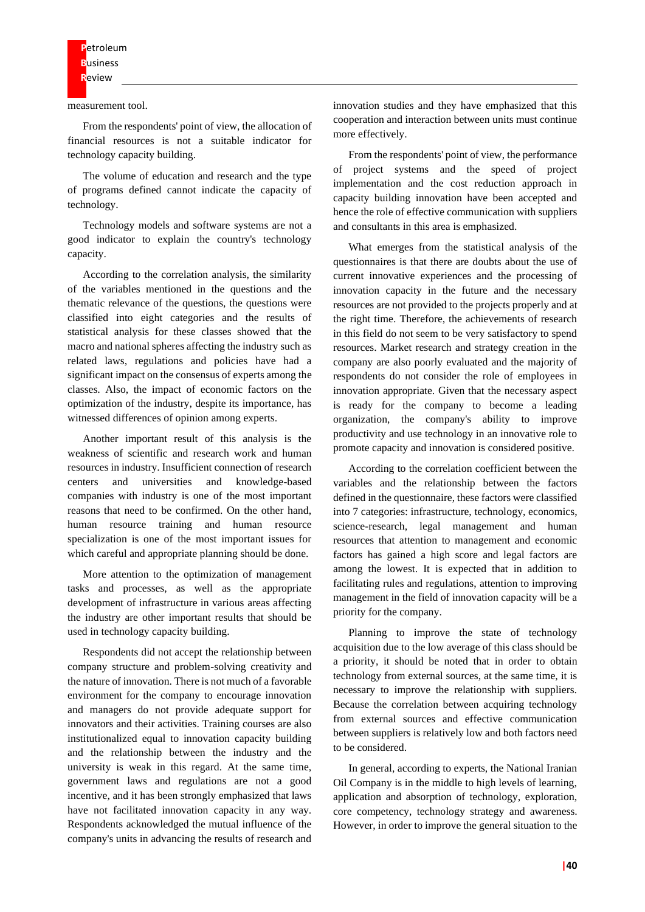measurement tool.

From the respondents' point of view, the allocation of financial resources is not a suitable indicator for technology capacity building.

The volume of education and research and the type of programs defined cannot indicate the capacity of technology.

Technology models and software systems are not a good indicator to explain the country's technology capacity.

According to the correlation analysis, the similarity of the variables mentioned in the questions and the thematic relevance of the questions, the questions were classified into eight categories and the results of statistical analysis for these classes showed that the macro and national spheres affecting the industry such as related laws, regulations and policies have had a significant impact on the consensus of experts among the classes. Also, the impact of economic factors on the optimization of the industry, despite its importance, has witnessed differences of opinion among experts.

Another important result of this analysis is the weakness of scientific and research work and human resources in industry. Insufficient connection of research centers and universities and knowledge-based companies with industry is one of the most important reasons that need to be confirmed. On the other hand, human resource training and human resource specialization is one of the most important issues for which careful and appropriate planning should be done.

More attention to the optimization of management tasks and processes, as well as the appropriate development of infrastructure in various areas affecting the industry are other important results that should be used in technology capacity building.

Respondents did not accept the relationship between company structure and problem-solving creativity and the nature of innovation. There is not much of a favorable environment for the company to encourage innovation and managers do not provide adequate support for innovators and their activities. Training courses are also institutionalized equal to innovation capacity building and the relationship between the industry and the university is weak in this regard. At the same time, government laws and regulations are not a good incentive, and it has been strongly emphasized that laws have not facilitated innovation capacity in any way. Respondents acknowledged the mutual influence of the company's units in advancing the results of research and

innovation studies and they have emphasized that this cooperation and interaction between units must continue more effectively.

From the respondents' point of view, the performance of project systems and the speed of project implementation and the cost reduction approach in capacity building innovation have been accepted and hence the role of effective communication with suppliers and consultants in this area is emphasized.

What emerges from the statistical analysis of the questionnaires is that there are doubts about the use of current innovative experiences and the processing of innovation capacity in the future and the necessary resources are not provided to the projects properly and at the right time. Therefore, the achievements of research in this field do not seem to be very satisfactory to spend resources. Market research and strategy creation in the company are also poorly evaluated and the majority of respondents do not consider the role of employees in innovation appropriate. Given that the necessary aspect is ready for the company to become a leading organization, the company's ability to improve productivity and use technology in an innovative role to promote capacity and innovation is considered positive.

According to the correlation coefficient between the variables and the relationship between the factors defined in the questionnaire, these factors were classified into 7 categories: infrastructure, technology, economics, science-research, legal management and human resources that attention to management and economic factors has gained a high score and legal factors are among the lowest. It is expected that in addition to facilitating rules and regulations, attention to improving management in the field of innovation capacity will be a priority for the company.

Planning to improve the state of technology acquisition due to the low average of this class should be a priority, it should be noted that in order to obtain technology from external sources, at the same time, it is necessary to improve the relationship with suppliers. Because the correlation between acquiring technology from external sources and effective communication between suppliers is relatively low and both factors need to be considered.

In general, according to experts, the National Iranian Oil Company is in the middle to high levels of learning, application and absorption of technology, exploration, core competency, technology strategy and awareness. However, in order to improve the general situation to the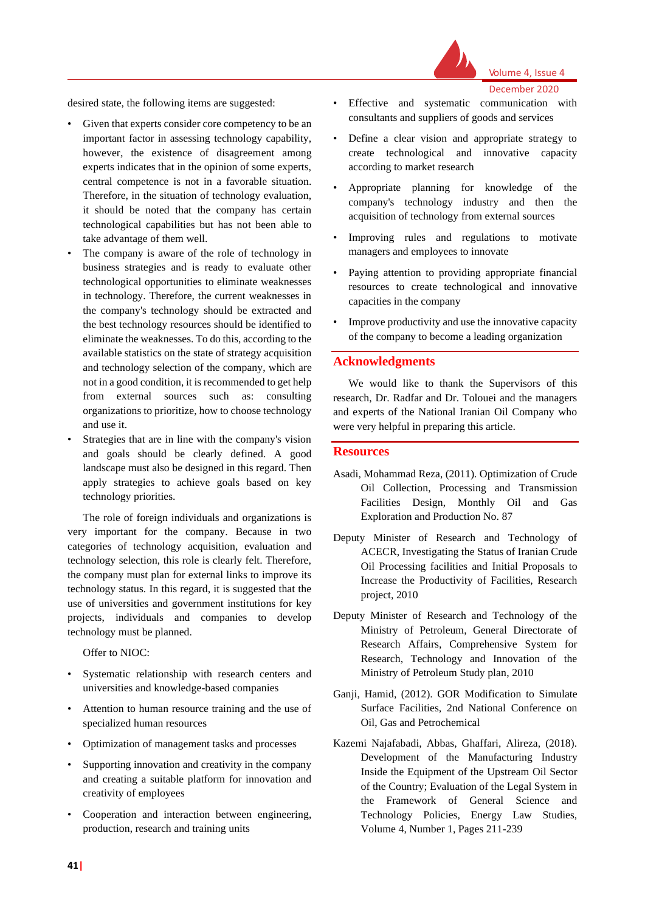

Volume 4, Issue 4

December 2020

desired state, the following items are suggested:

- Given that experts consider core competency to be an important factor in assessing technology capability, however, the existence of disagreement among experts indicates that in the opinion of some experts, central competence is not in a favorable situation. Therefore, in the situation of technology evaluation, it should be noted that the company has certain technological capabilities but has not been able to take advantage of them well.
- The company is aware of the role of technology in business strategies and is ready to evaluate other technological opportunities to eliminate weaknesses in technology. Therefore, the current weaknesses in the company's technology should be extracted and the best technology resources should be identified to eliminate the weaknesses. To do this, according to the available statistics on the state of strategy acquisition and technology selection of the company, which are not in a good condition, it is recommended to get help from external sources such as: consulting organizations to prioritize, how to choose technology and use it.
- Strategies that are in line with the company's vision and goals should be clearly defined. A good landscape must also be designed in this regard. Then apply strategies to achieve goals based on key technology priorities.

The role of foreign individuals and organizations is very important for the company. Because in two categories of technology acquisition, evaluation and technology selection, this role is clearly felt. Therefore, the company must plan for external links to improve its technology status. In this regard, it is suggested that the use of universities and government institutions for key projects, individuals and companies to develop technology must be planned.

Offer to NIOC:

- Systematic relationship with research centers and universities and knowledge-based companies
- Attention to human resource training and the use of specialized human resources
- Optimization of management tasks and processes
- Supporting innovation and creativity in the company and creating a suitable platform for innovation and creativity of employees
- Cooperation and interaction between engineering, production, research and training units
- Effective and systematic communication with consultants and suppliers of goods and services
- Define a clear vision and appropriate strategy to create technological and innovative capacity according to market research
- Appropriate planning for knowledge of the company's technology industry and then the acquisition of technology from external sources
- Improving rules and regulations to motivate managers and employees to innovate
- Paying attention to providing appropriate financial resources to create technological and innovative capacities in the company
- Improve productivity and use the innovative capacity of the company to become a leading organization

## **Acknowledgments**

We would like to thank the Supervisors of this research, Dr. Radfar and Dr. Tolouei and the managers and experts of the National Iranian Oil Company who were very helpful in preparing this article.

#### **Resources**

- Asadi, Mohammad Reza, (2011). Optimization of Crude Oil Collection, Processing and Transmission Facilities Design, Monthly Oil and Gas Exploration and Production No. 87
- Deputy Minister of Research and Technology of ACECR, Investigating the Status of Iranian Crude Oil Processing facilities and Initial Proposals to Increase the Productivity of Facilities, Research project, 2010
- Deputy Minister of Research and Technology of the Ministry of Petroleum, General Directorate of Research Affairs, Comprehensive System for Research, Technology and Innovation of the Ministry of Petroleum Study plan, 2010
- Ganji, Hamid, (2012). GOR Modification to Simulate Surface Facilities, 2nd National Conference on Oil, Gas and Petrochemical
- Kazemi Najafabadi, Abbas, Ghaffari, Alireza, (2018). Development of the Manufacturing Industry Inside the Equipment of the Upstream Oil Sector of the Country; Evaluation of the Legal System in the Framework of General Science and Technology Policies, Energy Law Studies, Volume 4, Number 1, Pages 211-239